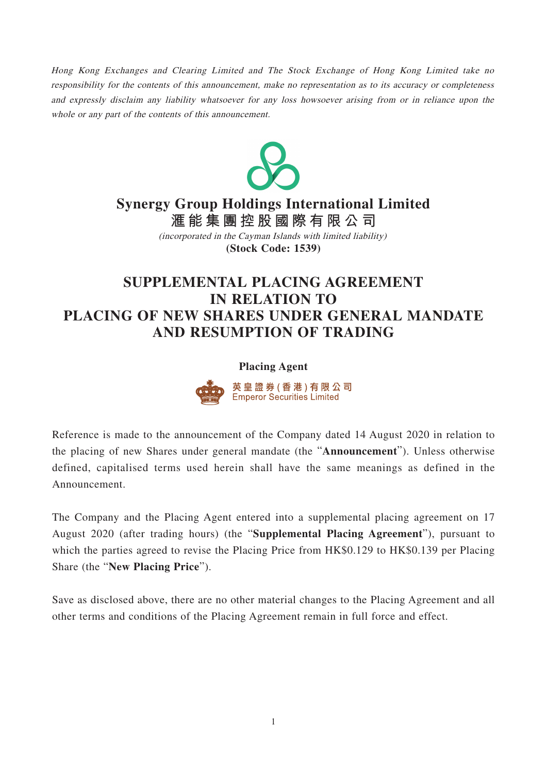Hong Kong Exchanges and Clearing Limited and The Stock Exchange of Hong Kong Limited take no responsibility for the contents of this announcement, make no representation as to its accuracy or completeness and expressly disclaim any liability whatsoever for any loss howsoever arising from or in reliance upon the whole or any part of the contents of this announcement.



## **Synergy Group Holdings International Limited**

**滙能集團控股國際有限公 司 (Stock Code: 1539)** (incorporated in the Cayman Islands with limited liability)

## **SUPPLEMENTAL PLACING AGREEMENT IN RELATION TO PLACING OF NEW SHARES UNDER GENERAL MANDATE AND RESUMPTION OF TRADING**

## **Placing Agent**



Reference is made to the announcement of the Company dated 14 August 2020 in relation to the placing of new Shares under general mandate (the "**Announcement**"). Unless otherwise defined, capitalised terms used herein shall have the same meanings as defined in the Announcement.

The Company and the Placing Agent entered into a supplemental placing agreement on 17 August 2020 (after trading hours) (the "**Supplemental Placing Agreement**"), pursuant to which the parties agreed to revise the Placing Price from HK\$0.129 to HK\$0.139 per Placing Share (the "**New Placing Price**").

Save as disclosed above, there are no other material changes to the Placing Agreement and all other terms and conditions of the Placing Agreement remain in full force and effect.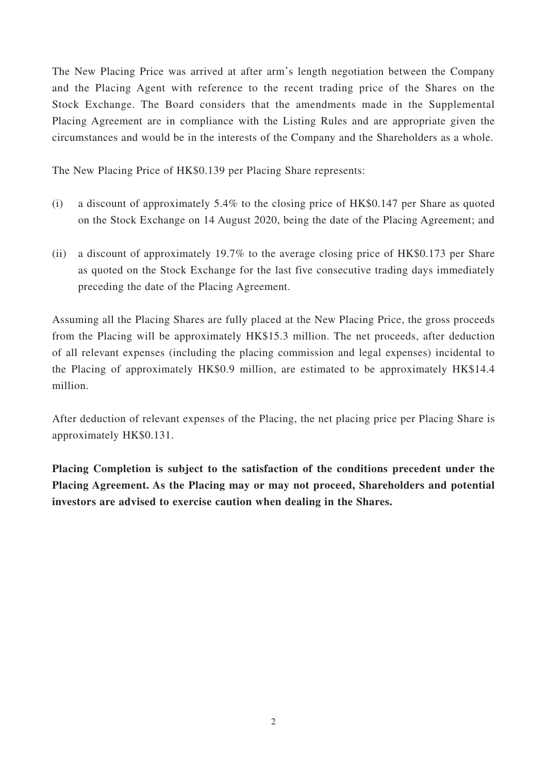The New Placing Price was arrived at after arm's length negotiation between the Company and the Placing Agent with reference to the recent trading price of the Shares on the Stock Exchange. The Board considers that the amendments made in the Supplemental Placing Agreement are in compliance with the Listing Rules and are appropriate given the circumstances and would be in the interests of the Company and the Shareholders as a whole.

The New Placing Price of HK\$0.139 per Placing Share represents:

- (i) a discount of approximately 5.4% to the closing price of HK\$0.147 per Share as quoted on the Stock Exchange on 14 August 2020, being the date of the Placing Agreement; and
- (ii) a discount of approximately 19.7% to the average closing price of HK\$0.173 per Share as quoted on the Stock Exchange for the last five consecutive trading days immediately preceding the date of the Placing Agreement.

Assuming all the Placing Shares are fully placed at the New Placing Price, the gross proceeds from the Placing will be approximately HK\$15.3 million. The net proceeds, after deduction of all relevant expenses (including the placing commission and legal expenses) incidental to the Placing of approximately HK\$0.9 million, are estimated to be approximately HK\$14.4 million.

After deduction of relevant expenses of the Placing, the net placing price per Placing Share is approximately HK\$0.131.

**Placing Completion is subject to the satisfaction of the conditions precedent under the Placing Agreement. As the Placing may or may not proceed, Shareholders and potential investors are advised to exercise caution when dealing in the Shares.**